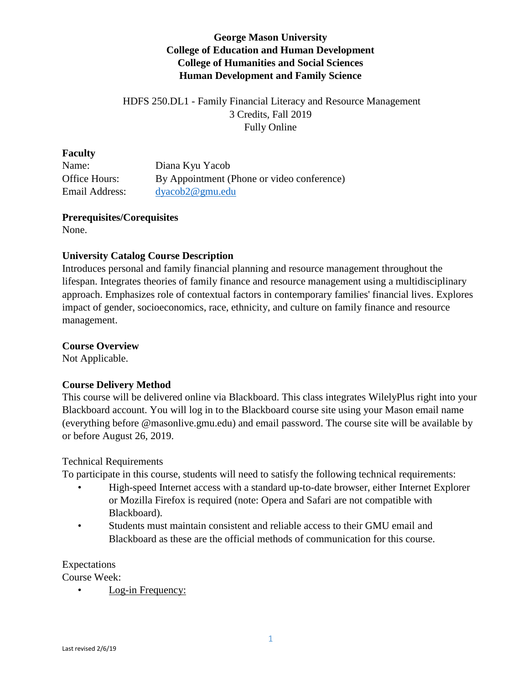## **George Mason University College of Education and Human Development College of Humanities and Social Sciences Human Development and Family Science**

## HDFS 250.DL1 - Family Financial Literacy and Resource Management 3 Credits, Fall 2019 Fully Online

#### **Faculty**

| Name:          | Diana Kyu Yacob                            |
|----------------|--------------------------------------------|
| Office Hours:  | By Appointment (Phone or video conference) |
| Email Address: | dvacob2@gmu.edu                            |

#### **Prerequisites/Corequisites** None.

### **University Catalog Course Description**

Introduces personal and family financial planning and resource management throughout the lifespan. Integrates theories of family finance and resource management using a multidisciplinary approach. Emphasizes role of contextual factors in contemporary families' financial lives. Explores impact of gender, socioeconomics, race, ethnicity, and culture on family finance and resource management.

#### **Course Overview**

Not Applicable.

### **Course Delivery Method**

This course will be delivered online via Blackboard. This class integrates WilelyPlus right into your Blackboard account. You will log in to the Blackboard course site using your Mason email name (everything before @masonlive.gmu.edu) and email password. The course site will be available by or before August 26, 2019.

### Technical Requirements

To participate in this course, students will need to satisfy the following technical requirements:

- High-speed Internet access with a standard up-to-date browser, either Internet Explorer or Mozilla Firefox is required (note: Opera and Safari are not compatible with Blackboard).
- Students must maintain consistent and reliable access to their GMU email and Blackboard as these are the official methods of communication for this course.

Expectations

Course Week:

• Log-in Frequency: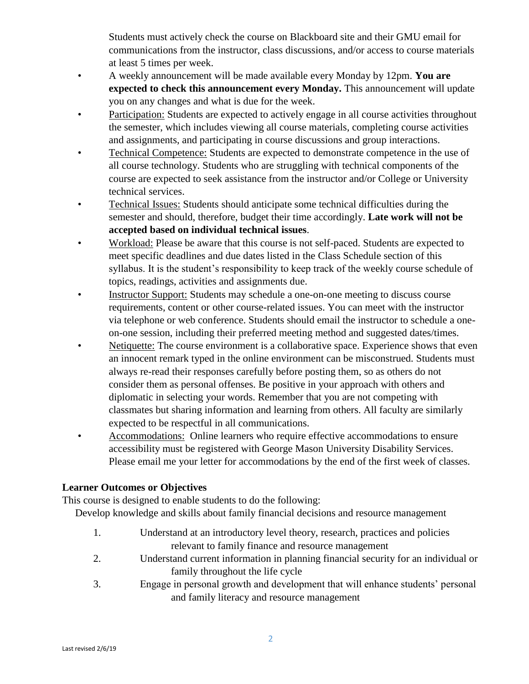Students must actively check the course on Blackboard site and their GMU email for communications from the instructor, class discussions, and/or access to course materials at least 5 times per week.

- A weekly announcement will be made available every Monday by 12pm. **You are expected to check this announcement every Monday.** This announcement will update you on any changes and what is due for the week.
- Participation: Students are expected to actively engage in all course activities throughout the semester, which includes viewing all course materials, completing course activities and assignments, and participating in course discussions and group interactions.
- Technical Competence: Students are expected to demonstrate competence in the use of all course technology. Students who are struggling with technical components of the course are expected to seek assistance from the instructor and/or College or University technical services.
- Technical Issues: Students should anticipate some technical difficulties during the semester and should, therefore, budget their time accordingly. **Late work will not be accepted based on individual technical issues**.
- Workload: Please be aware that this course is not self-paced. Students are expected to meet specific deadlines and due dates listed in the Class Schedule section of this syllabus. It is the student's responsibility to keep track of the weekly course schedule of topics, readings, activities and assignments due.
- Instructor Support: Students may schedule a one-on-one meeting to discuss course requirements, content or other course-related issues. You can meet with the instructor via telephone or web conference. Students should email the instructor to schedule a oneon-one session, including their preferred meeting method and suggested dates/times.
- Netiquette: The course environment is a collaborative space. Experience shows that even an innocent remark typed in the online environment can be misconstrued. Students must always re-read their responses carefully before posting them, so as others do not consider them as personal offenses. Be positive in your approach with others and diplomatic in selecting your words. Remember that you are not competing with classmates but sharing information and learning from others. All faculty are similarly expected to be respectful in all communications.
- Accommodations: Online learners who require effective accommodations to ensure accessibility must be registered with George Mason University Disability Services. Please email me your letter for accommodations by the end of the first week of classes.

# **Learner Outcomes or Objectives**

This course is designed to enable students to do the following:

Develop knowledge and skills about family financial decisions and resource management

- 1. Understand at an introductory level theory, research, practices and policies relevant to family finance and resource management
- 2. Understand current information in planning financial security for an individual or family throughout the life cycle
- 3. Engage in personal growth and development that will enhance students' personal and family literacy and resource management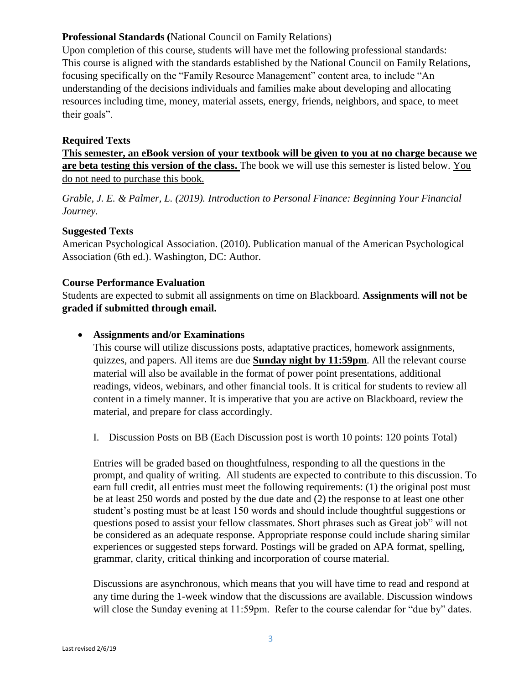### **Professional Standards (**National Council on Family Relations)

Upon completion of this course, students will have met the following professional standards: This course is aligned with the standards established by the National Council on Family Relations, focusing specifically on the "Family Resource Management" content area, to include "An understanding of the decisions individuals and families make about developing and allocating resources including time, money, material assets, energy, friends, neighbors, and space, to meet their goals".

### **Required Texts**

**This semester, an eBook version of your textbook will be given to you at no charge because we are beta testing this version of the class.** The book we will use this semester is listed below. You do not need to purchase this book.

*Grable, J. E. & Palmer, L. (2019). Introduction to Personal Finance: Beginning Your Financial Journey.*

### **Suggested Texts**

American Psychological Association. (2010). Publication manual of the American Psychological Association (6th ed.). Washington, DC: Author.

### **Course Performance Evaluation**

Students are expected to submit all assignments on time on Blackboard. **Assignments will not be graded if submitted through email.** 

## **Assignments and/or Examinations**

This course will utilize discussions posts, adaptative practices, homework assignments, quizzes, and papers. All items are due **Sunday night by 11:59pm**. All the relevant course material will also be available in the format of power point presentations, additional readings, videos, webinars, and other financial tools. It is critical for students to review all content in a timely manner. It is imperative that you are active on Blackboard, review the material, and prepare for class accordingly.

I. Discussion Posts on BB (Each Discussion post is worth 10 points: 120 points Total)

Entries will be graded based on thoughtfulness, responding to all the questions in the prompt, and quality of writing. All students are expected to contribute to this discussion. To earn full credit, all entries must meet the following requirements: (1) the original post must be at least 250 words and posted by the due date and (2) the response to at least one other student's posting must be at least 150 words and should include thoughtful suggestions or questions posed to assist your fellow classmates. Short phrases such as Great job" will not be considered as an adequate response. Appropriate response could include sharing similar experiences or suggested steps forward. Postings will be graded on APA format, spelling, grammar, clarity, critical thinking and incorporation of course material.

Discussions are asynchronous, which means that you will have time to read and respond at any time during the 1-week window that the discussions are available. Discussion windows will close the Sunday evening at 11:59pm. Refer to the course calendar for "due by" dates.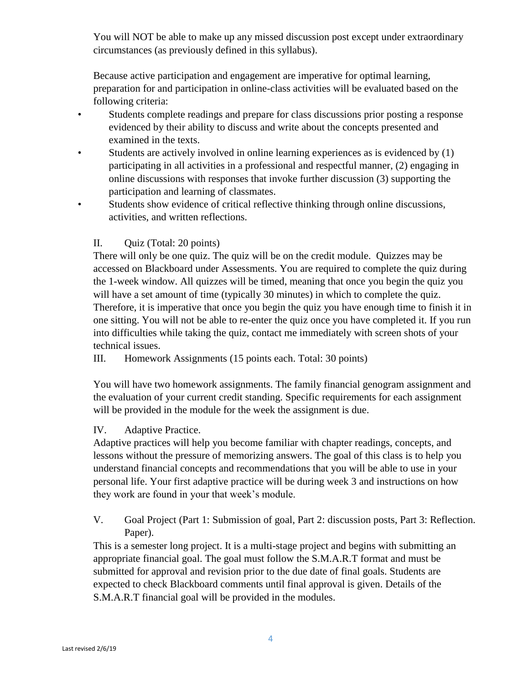You will NOT be able to make up any missed discussion post except under extraordinary circumstances (as previously defined in this syllabus).

Because active participation and engagement are imperative for optimal learning, preparation for and participation in online-class activities will be evaluated based on the following criteria:

- Students complete readings and prepare for class discussions prior posting a response evidenced by their ability to discuss and write about the concepts presented and examined in the texts.
- Students are actively involved in online learning experiences as is evidenced by (1) participating in all activities in a professional and respectful manner, (2) engaging in online discussions with responses that invoke further discussion (3) supporting the participation and learning of classmates.
- Students show evidence of critical reflective thinking through online discussions, activities, and written reflections.

# II. Quiz (Total: 20 points)

There will only be one quiz. The quiz will be on the credit module. Quizzes may be accessed on Blackboard under Assessments. You are required to complete the quiz during the 1-week window. All quizzes will be timed, meaning that once you begin the quiz you will have a set amount of time (typically 30 minutes) in which to complete the quiz. Therefore, it is imperative that once you begin the quiz you have enough time to finish it in one sitting. You will not be able to re-enter the quiz once you have completed it. If you run into difficulties while taking the quiz, contact me immediately with screen shots of your technical issues.

III. Homework Assignments (15 points each. Total: 30 points)

You will have two homework assignments. The family financial genogram assignment and the evaluation of your current credit standing. Specific requirements for each assignment will be provided in the module for the week the assignment is due.

### IV. Adaptive Practice.

Adaptive practices will help you become familiar with chapter readings, concepts, and lessons without the pressure of memorizing answers. The goal of this class is to help you understand financial concepts and recommendations that you will be able to use in your personal life. Your first adaptive practice will be during week 3 and instructions on how they work are found in your that week's module.

V. Goal Project (Part 1: Submission of goal, Part 2: discussion posts, Part 3: Reflection. Paper).

This is a semester long project. It is a multi-stage project and begins with submitting an appropriate financial goal. The goal must follow the S.M.A.R.T format and must be submitted for approval and revision prior to the due date of final goals. Students are expected to check Blackboard comments until final approval is given. Details of the S.M.A.R.T financial goal will be provided in the modules.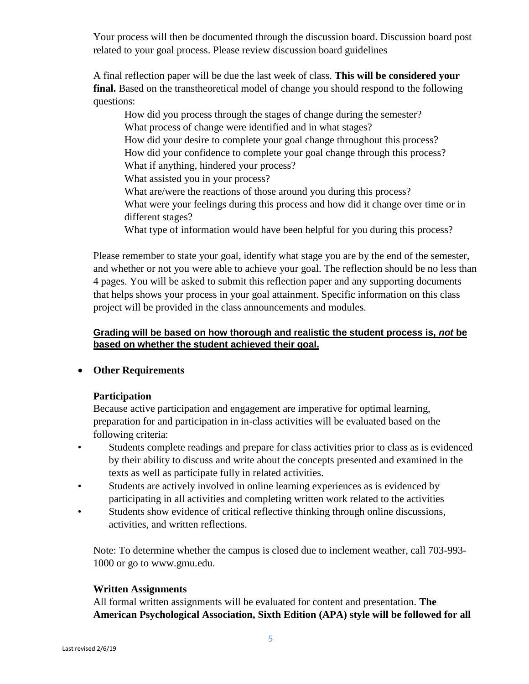Your process will then be documented through the discussion board. Discussion board post related to your goal process. Please review discussion board guidelines

A final reflection paper will be due the last week of class. **This will be considered your final.** Based on the transtheoretical model of change you should respond to the following questions:

How did you process through the stages of change during the semester? What process of change were identified and in what stages? How did your desire to complete your goal change throughout this process? How did your confidence to complete your goal change through this process? What if anything, hindered your process? What assisted you in your process? What are/were the reactions of those around you during this process? What were your feelings during this process and how did it change over time or in different stages? What type of information would have been helpful for you during this process?

Please remember to state your goal, identify what stage you are by the end of the semester, and whether or not you were able to achieve your goal. The reflection should be no less than 4 pages. You will be asked to submit this reflection paper and any supporting documents that helps shows your process in your goal attainment. Specific information on this class project will be provided in the class announcements and modules.

### **Grading will be based on how thorough and realistic the student process is,** *not* **be based on whether the student achieved their goal.**

### **Other Requirements**

### **Participation**

Because active participation and engagement are imperative for optimal learning, preparation for and participation in in-class activities will be evaluated based on the following criteria:

- Students complete readings and prepare for class activities prior to class as is evidenced by their ability to discuss and write about the concepts presented and examined in the texts as well as participate fully in related activities.
- Students are actively involved in online learning experiences as is evidenced by participating in all activities and completing written work related to the activities
- Students show evidence of critical reflective thinking through online discussions, activities, and written reflections.

Note: To determine whether the campus is closed due to inclement weather, call 703-993- 1000 or go to www.gmu.edu.

### **Written Assignments**

All formal written assignments will be evaluated for content and presentation. **The American Psychological Association, Sixth Edition (APA) style will be followed for all**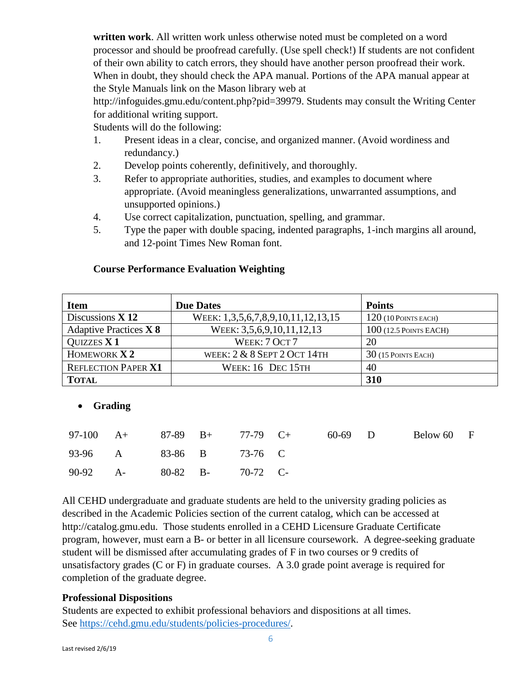**written work**. All written work unless otherwise noted must be completed on a word processor and should be proofread carefully. (Use spell check!) If students are not confident of their own ability to catch errors, they should have another person proofread their work. When in doubt, they should check the APA manual. Portions of the APA manual appear at the Style Manuals link on the Mason library web at

http://infoguides.gmu.edu/content.php?pid=39979. Students may consult the Writing Center for additional writing support.

Students will do the following:

- 1. Present ideas in a clear, concise, and organized manner. (Avoid wordiness and redundancy.)
- 2. Develop points coherently, definitively, and thoroughly.
- 3. Refer to appropriate authorities, studies, and examples to document where appropriate. (Avoid meaningless generalizations, unwarranted assumptions, and unsupported opinions.)
- 4. Use correct capitalization, punctuation, spelling, and grammar.
- 5. Type the paper with double spacing, indented paragraphs, 1-inch margins all around, and 12-point Times New Roman font.

| <b>Item</b>                   | <b>Due Dates</b>                   | <b>Points</b>            |
|-------------------------------|------------------------------------|--------------------------|
| Discussions $X$ 12            | WEEK: 1,3,5,6,7,8,9,10,11,12,13,15 | $120$ (10 POINTS EACH)   |
| <b>Adaptive Practices X 8</b> | WEEK: 3,5,6,9,10,11,12,13          | $100$ (12.5 POINTS EACH) |
| <b>QUIZZES X 1</b>            | WEEK: 7 OCT 7                      | 20                       |
| HOMEWORK $X2$                 | WEEK: $2 & 8$ SEPT $2$ OCT 14TH    | $30$ (15 POINTS EACH)    |
| <b>REFLECTION PAPER X1</b>    | WEEK: 16 DEC 15TH                  | 40                       |
| <b>TOTAL</b>                  |                                    | 310                      |

#### **Course Performance Evaluation Weighting**

# **Grading**

|                            |  | 97-100 A+ 87-89 B+ 77-79 C+ | 60-69 D | Below 60 F |  |
|----------------------------|--|-----------------------------|---------|------------|--|
| 93-96 A 83-86 B 73-76 C    |  |                             |         |            |  |
| 90-92 A- 80-82 B- 70-72 C- |  |                             |         |            |  |

All CEHD undergraduate and graduate students are held to the university grading policies as described in the Academic Policies section of the current catalog, which can be accessed at http://catalog.gmu.edu. Those students enrolled in a CEHD Licensure Graduate Certificate program, however, must earn a B- or better in all licensure coursework. A degree-seeking graduate student will be dismissed after accumulating grades of F in two courses or 9 credits of unsatisfactory grades (C or F) in graduate courses. A 3.0 grade point average is required for completion of the graduate degree.

### **Professional Dispositions**

Students are expected to exhibit professional behaviors and dispositions at all times. See [https://cehd.gmu.edu/students/policies-procedures/.](https://cehd.gmu.edu/students/policies-procedures/)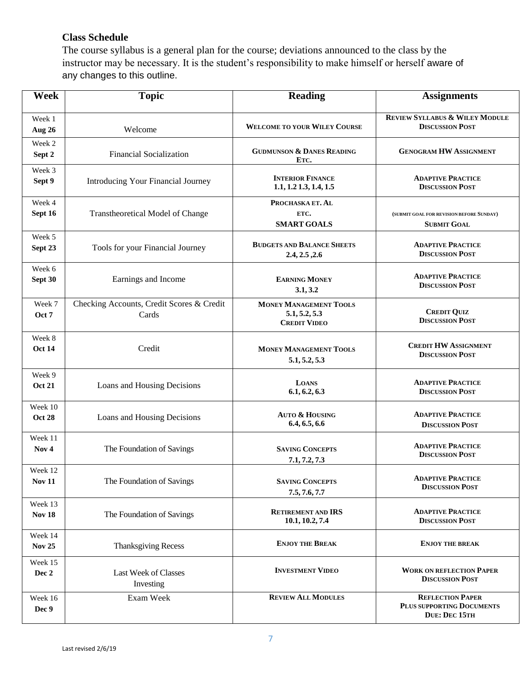## **Class Schedule**

The course syllabus is a general plan for the course; deviations announced to the class by the instructor may be necessary. It is the student's responsibility to make himself or herself aware of any changes to this outline.

| <b>Week</b>              | <b>Topic</b>                                       | <b>Reading</b>                                                        | <b>Assignments</b>                                                    |
|--------------------------|----------------------------------------------------|-----------------------------------------------------------------------|-----------------------------------------------------------------------|
| Week 1<br><b>Aug 26</b>  | Welcome                                            | <b>WELCOME TO YOUR WILEY COURSE</b>                                   | <b>REVIEW SYLLABUS &amp; WILEY MODULE</b><br><b>DISCUSSION POST</b>   |
| Week 2<br>Sept 2         | <b>Financial Socialization</b>                     | <b>GUDMUNSON &amp; DANES READING</b><br>ETC.                          | <b>GENOGRAM HW ASSIGNMENT</b>                                         |
| Week 3                   | Introducing Your Financial Journey                 | <b>INTERIOR FINANCE</b>                                               | <b>ADAPTIVE PRACTICE</b>                                              |
| Sept 9                   |                                                    | $1.1, 1.2$ $1.3, 1.4, 1.5$                                            | <b>DISCUSSION POST</b>                                                |
| Week 4<br>Sept 16        | <b>Transtheoretical Model of Change</b>            | PROCHASKA ET. AL<br>ETC.<br><b>SMART GOALS</b>                        | (SUBMIT GOAL FOR REVISION BEFORE SUNDAY)<br><b>SUBMIT GOAL</b>        |
| Week 5                   | Tools for your Financial Journey                   | <b>BUDGETS AND BALANCE SHEETS</b>                                     | <b>ADAPTIVE PRACTICE</b>                                              |
| Sept 23                  |                                                    | 2.4, 2.5, 2.6                                                         | <b>DISCUSSION POST</b>                                                |
| Week 6                   | Earnings and Income                                | <b>EARNING MONEY</b>                                                  | <b>ADAPTIVE PRACTICE</b>                                              |
| Sept 30                  |                                                    | 3.1, 3.2                                                              | <b>DISCUSSION POST</b>                                                |
| Week 7<br>Oct 7          | Checking Accounts, Credit Scores & Credit<br>Cards | <b>MONEY MANAGEMENT TOOLS</b><br>5.1, 5.2, 5.3<br><b>CREDIT VIDEO</b> | <b>CREDIT QUIZ</b><br><b>DISCUSSION POST</b>                          |
| Week 8                   | Credit                                             | <b>MONEY MANAGEMENT TOOLS</b>                                         | <b>CREDIT HW ASSIGNMENT</b>                                           |
| <b>Oct 14</b>            |                                                    | 5.1, 5.2, 5.3                                                         | <b>DISCUSSION POST</b>                                                |
| Week 9                   | Loans and Housing Decisions                        | <b>LOANS</b>                                                          | <b>ADAPTIVE PRACTICE</b>                                              |
| <b>Oct 21</b>            |                                                    | 6.1, 6.2, 6.3                                                         | <b>DISCUSSION POST</b>                                                |
| Week 10                  | Loans and Housing Decisions                        | AUTO & HOUSING                                                        | <b>ADAPTIVE PRACTICE</b>                                              |
| <b>Oct 28</b>            |                                                    | 6.4, 6.5, 6.6                                                         | <b>DISCUSSION POST</b>                                                |
| Week 11                  | The Foundation of Savings                          | <b>SAVING CONCEPTS</b>                                                | <b>ADAPTIVE PRACTICE</b>                                              |
| Nov <sub>4</sub>         |                                                    | 7.1, 7.2, 7.3                                                         | <b>DISCUSSION POST</b>                                                |
| Week 12                  | The Foundation of Savings                          | <b>SAVING CONCEPTS</b>                                                | <b>ADAPTIVE PRACTICE</b>                                              |
| <b>Nov 11</b>            |                                                    | 7.5, 7.6, 7.7                                                         | <b>DISCUSSION POST</b>                                                |
| Week 13                  | The Foundation of Savings                          | <b>RETIREMENT AND IRS</b>                                             | <b>ADAPTIVE PRACTICE</b>                                              |
| <b>Nov 18</b>            |                                                    | 10.1, 10.2, 7.4                                                       | <b>DISCUSSION POST</b>                                                |
| Week 14<br><b>Nov 25</b> | <b>Thanksgiving Recess</b>                         | <b>ENJOY THE BREAK</b>                                                | <b>ENJOY THE BREAK</b>                                                |
| Week 15                  | Last Week of Classes                               | <b>INVESTMENT VIDEO</b>                                               | <b>WORK ON REFLECTION PAPER</b>                                       |
| Dec 2                    | Investing                                          |                                                                       | <b>DISCUSSION POST</b>                                                |
| Week 16<br>Dec 9         | Exam Week                                          | <b>REVIEW ALL MODULES</b>                                             | <b>REFLECTION PAPER</b><br>PLUS SUPPORTING DOCUMENTS<br>DUE: DEC 15TH |